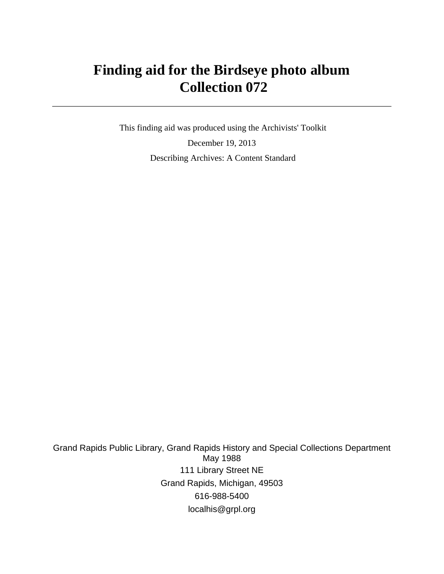# **Finding aid for the Birdseye photo album Collection 072**

 This finding aid was produced using the Archivists' Toolkit December 19, 2013 Describing Archives: A Content Standard

Grand Rapids Public Library, Grand Rapids History and Special Collections Department May 1988 111 Library Street NE Grand Rapids, Michigan, 49503 616-988-5400 localhis@grpl.org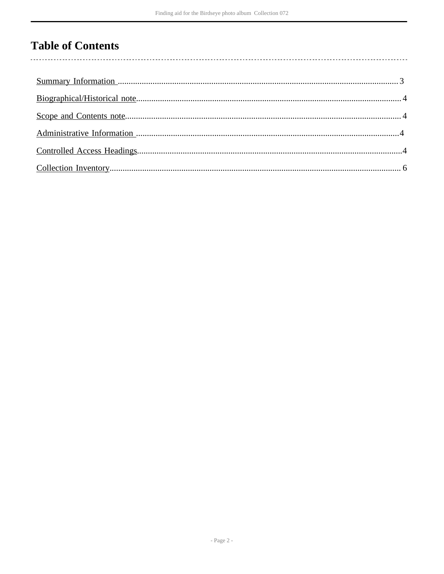# **Table of Contents**

 $\overline{\phantom{a}}$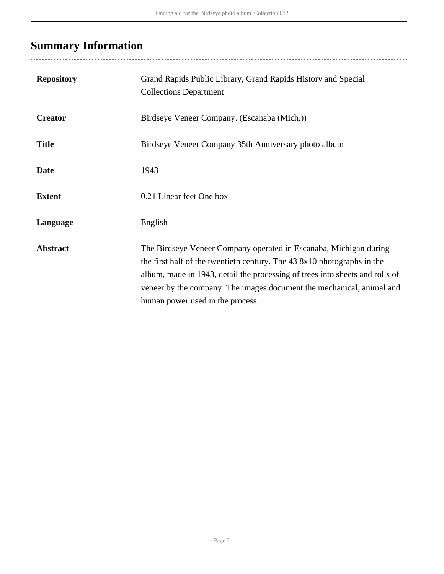# <span id="page-2-0"></span>**Summary Information**

| <b>Repository</b> | Grand Rapids Public Library, Grand Rapids History and Special<br><b>Collections Department</b>                                                                                                                                                                                                                                            |
|-------------------|-------------------------------------------------------------------------------------------------------------------------------------------------------------------------------------------------------------------------------------------------------------------------------------------------------------------------------------------|
| <b>Creator</b>    | Birdseye Veneer Company. (Escanaba (Mich.))                                                                                                                                                                                                                                                                                               |
| <b>Title</b>      | Birdseye Veneer Company 35th Anniversary photo album                                                                                                                                                                                                                                                                                      |
| <b>Date</b>       | 1943                                                                                                                                                                                                                                                                                                                                      |
| <b>Extent</b>     | 0.21 Linear feet One box                                                                                                                                                                                                                                                                                                                  |
| Language          | English                                                                                                                                                                                                                                                                                                                                   |
| <b>Abstract</b>   | The Birdseye Veneer Company operated in Escanaba, Michigan during<br>the first half of the twentieth century. The 43 8x10 photographs in the<br>album, made in 1943, detail the processing of trees into sheets and rolls of<br>veneer by the company. The images document the mechanical, animal and<br>human power used in the process. |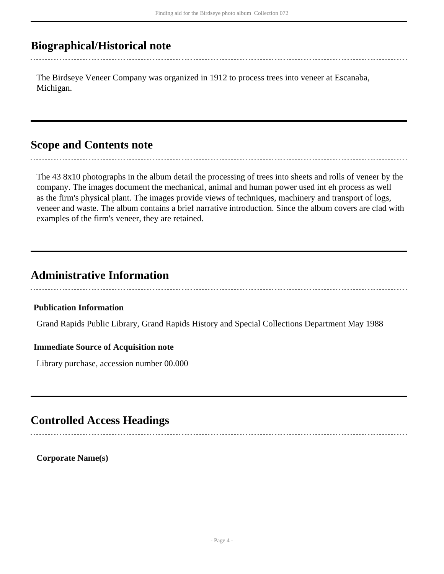## <span id="page-3-0"></span>**Biographical/Historical note**

The Birdseye Veneer Company was organized in 1912 to process trees into veneer at Escanaba, Michigan.

## <span id="page-3-1"></span>**Scope and Contents note**

The 43 8x10 photographs in the album detail the processing of trees into sheets and rolls of veneer by the company. The images document the mechanical, animal and human power used int eh process as well as the firm's physical plant. The images provide views of techniques, machinery and transport of logs, veneer and waste. The album contains a brief narrative introduction. Since the album covers are clad with examples of the firm's veneer, they are retained.

## <span id="page-3-2"></span>**Administrative Information**

#### **Publication Information**

Grand Rapids Public Library, Grand Rapids History and Special Collections Department May 1988

#### **Immediate Source of Acquisition note**

Library purchase, accession number 00.000

## <span id="page-3-3"></span>**Controlled Access Headings**

**Corporate Name(s)**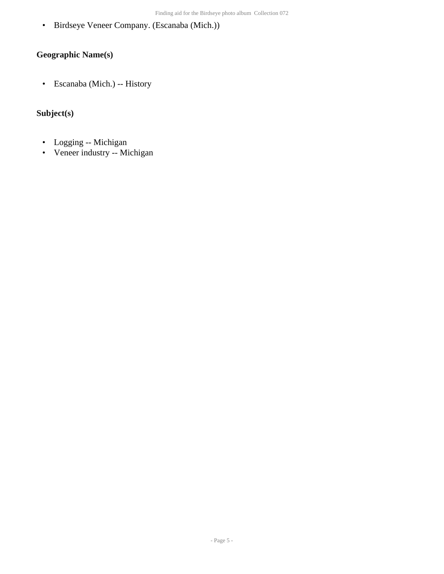• Birdseye Veneer Company. (Escanaba (Mich.))

### **Geographic Name(s)**

• Escanaba (Mich.) -- History

### **Subject(s)**

- Logging -- Michigan
- Veneer industry -- Michigan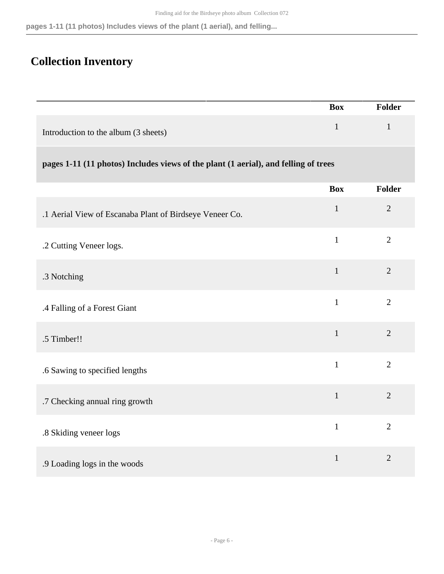#### **pages 1-11 (11 photos) Includes views of the plant (1 aerial), and felling...**

## <span id="page-5-0"></span>**Collection Inventory**

|                                                                                     | <b>Box</b>   | <b>Folder</b>  |
|-------------------------------------------------------------------------------------|--------------|----------------|
| Introduction to the album (3 sheets)                                                | $\mathbf{1}$ | $\mathbf{1}$   |
| pages 1-11 (11 photos) Includes views of the plant (1 aerial), and felling of trees |              |                |
|                                                                                     | <b>Box</b>   | <b>Folder</b>  |
| .1 Aerial View of Escanaba Plant of Birdseye Veneer Co.                             | $\mathbf{1}$ | $\overline{2}$ |
| .2 Cutting Veneer logs.                                                             | $\mathbf{1}$ | $\overline{2}$ |
| .3 Notching                                                                         | $\mathbf{1}$ | $\overline{2}$ |
| .4 Falling of a Forest Giant                                                        | $\mathbf{1}$ | $\overline{2}$ |
| .5 Timber!!                                                                         | $\mathbf{1}$ | $\overline{2}$ |
| .6 Sawing to specified lengths                                                      | $\mathbf{1}$ | $\overline{2}$ |
| .7 Checking annual ring growth                                                      | $\mathbf{1}$ | $\overline{2}$ |
| .8 Skiding veneer logs                                                              | $\mathbf{1}$ | $\overline{2}$ |
| .9 Loading logs in the woods                                                        | $\mathbf{1}$ | $\overline{2}$ |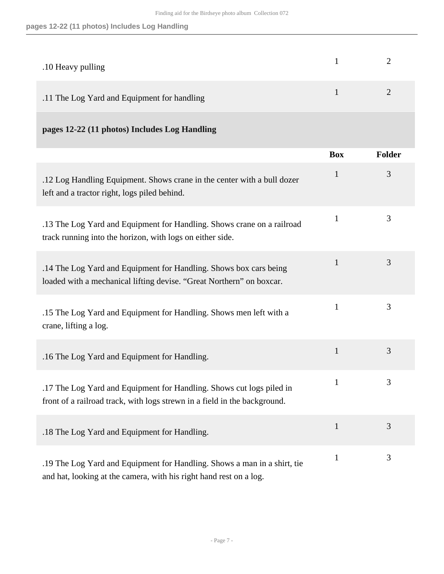#### **pages 12-22 (11 photos) Includes Log Handling**

| .10 Heavy pulling                           |               |
|---------------------------------------------|---------------|
| .11 The Log Yard and Equipment for handling | $\mathcal{D}$ |

### **pages 12-22 (11 photos) Includes Log Handling**

|                                                                                                                                                   | <b>Box</b>   | <b>Folder</b> |
|---------------------------------------------------------------------------------------------------------------------------------------------------|--------------|---------------|
| .12 Log Handling Equipment. Shows crane in the center with a bull dozer<br>left and a tractor right, logs piled behind.                           | $\mathbf{1}$ | 3             |
| .13 The Log Yard and Equipment for Handling. Shows crane on a railroad<br>track running into the horizon, with logs on either side.               | $\mathbf{1}$ | 3             |
| .14 The Log Yard and Equipment for Handling. Shows box cars being<br>loaded with a mechanical lifting devise. "Great Northern" on boxcar.         | $\mathbf{1}$ | 3             |
| .15 The Log Yard and Equipment for Handling. Shows men left with a<br>crane, lifting a log.                                                       | $\mathbf{1}$ | 3             |
| .16 The Log Yard and Equipment for Handling.                                                                                                      | $\mathbf{1}$ | 3             |
| .17 The Log Yard and Equipment for Handling. Shows cut logs piled in<br>front of a railroad track, with logs strewn in a field in the background. | $\mathbf{1}$ | 3             |
| .18 The Log Yard and Equipment for Handling.                                                                                                      | $\mathbf{1}$ | 3             |
| .19 The Log Yard and Equipment for Handling. Shows a man in a shirt, tie<br>and hat, looking at the camera, with his right hand rest on a log.    | $\mathbf{1}$ | 3             |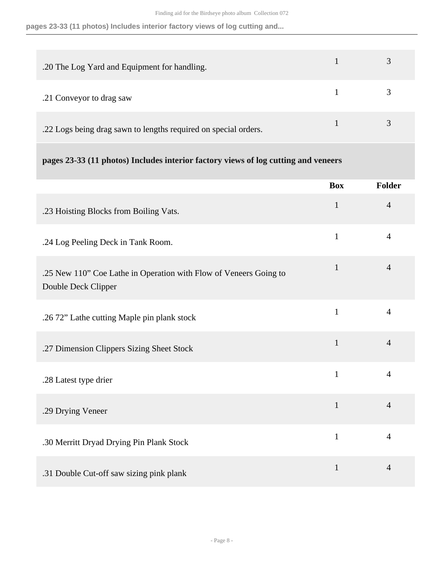#### **pages 23-33 (11 photos) Includes interior factory views of log cutting and...**

| .20 The Log Yard and Equipment for handling.                    |  |
|-----------------------------------------------------------------|--|
| .21 Conveyor to drag saw                                        |  |
| .22 Logs being drag sawn to lengths required on special orders. |  |

#### **pages 23-33 (11 photos) Includes interior factory views of log cutting and veneers**

|                                                                                          | <b>Box</b>   | Folder         |
|------------------------------------------------------------------------------------------|--------------|----------------|
| .23 Hoisting Blocks from Boiling Vats.                                                   | $\mathbf{1}$ | $\overline{4}$ |
| .24 Log Peeling Deck in Tank Room.                                                       | $\mathbf{1}$ | $\overline{4}$ |
| .25 New 110" Coe Lathe in Operation with Flow of Veneers Going to<br>Double Deck Clipper | $\mathbf{1}$ | $\overline{4}$ |
| .26 72" Lathe cutting Maple pin plank stock                                              | $\mathbf{1}$ | $\overline{4}$ |
| .27 Dimension Clippers Sizing Sheet Stock                                                | $\mathbf{1}$ | $\overline{4}$ |
| .28 Latest type drier                                                                    | $\mathbf{1}$ | $\overline{4}$ |
| .29 Drying Veneer                                                                        | $\mathbf{1}$ | $\overline{4}$ |
| .30 Merritt Dryad Drying Pin Plank Stock                                                 | $\mathbf{1}$ | $\overline{4}$ |
| .31 Double Cut-off saw sizing pink plank                                                 | $\mathbf{1}$ | $\overline{4}$ |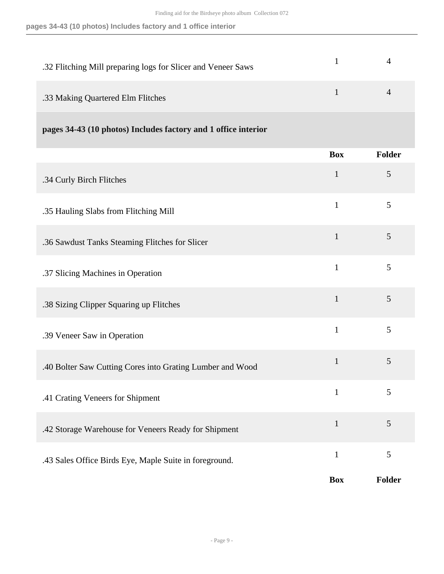| .32 Flitching Mill preparing logs for Slicer and Veneer Saws |  |
|--------------------------------------------------------------|--|
| .33 Making Quartered Elm Flitches                            |  |

**pages 34-43 (10 photos) Includes factory and 1 office interior** 

|                                                           | <b>Box</b>   | Folder |
|-----------------------------------------------------------|--------------|--------|
| .34 Curly Birch Flitches                                  | $\mathbf{1}$ | 5      |
| .35 Hauling Slabs from Flitching Mill                     | $\mathbf{1}$ | 5      |
| .36 Sawdust Tanks Steaming Flitches for Slicer            | $\mathbf{1}$ | 5      |
| .37 Slicing Machines in Operation                         | $\mathbf{1}$ | 5      |
| .38 Sizing Clipper Squaring up Flitches                   | $\mathbf{1}$ | 5      |
| .39 Veneer Saw in Operation                               | $\mathbf{1}$ | 5      |
| .40 Bolter Saw Cutting Cores into Grating Lumber and Wood | $\mathbf{1}$ | 5      |
| .41 Crating Veneers for Shipment                          | $\mathbf{1}$ | 5      |
| .42 Storage Warehouse for Veneers Ready for Shipment      | $\mathbf{1}$ | 5      |
| .43 Sales Office Birds Eye, Maple Suite in foreground.    | $\mathbf{1}$ | 5      |
|                                                           | <b>Box</b>   | Folder |